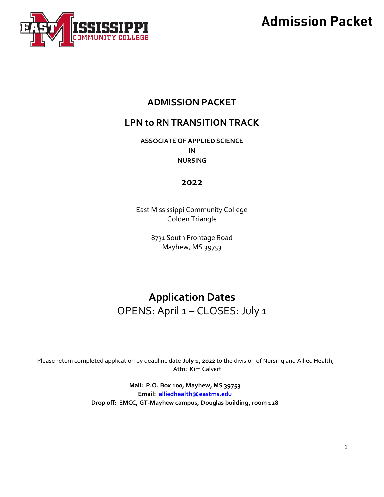

### **ADMISSION PACKET**

### **LPN to RN TRANSITION TRACK**

**ASSOCIATE OF APPLIED SCIENCE IN NURSING** 

### **2022**

East Mississippi Community College Golden Triangle

> 8731 South Frontage Road Mayhew, MS 39753

### **Application Dates** OPENS: April 1 – CLOSES: July 1

Please return completed application by deadline date **July 1, 2022** to the division of Nursing and Allied Health, Attn: Kim Calvert

> **Mail: P.O. Box 100, Mayhew, MS 39753 Email: [alliedhealth@eastms.edu](mailto:alliedhealth@eastms.edu) Drop off: EMCC, GT-Mayhew campus, Douglas building, room 128**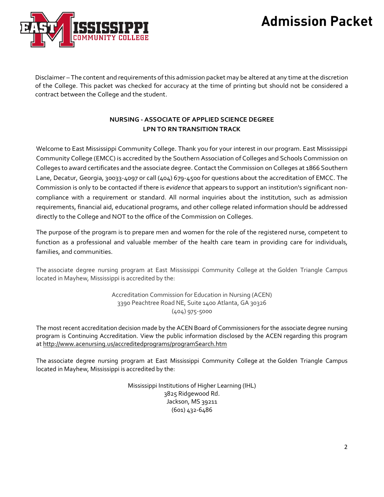

Disclaimer – The content and requirements of this admission packet may be altered at any time at the discretion of the College. This packet was checked for accuracy at the time of printing but should not be considered a contract between the College and the student.

### **NURSING - ASSOCIATE OF APPLIED SCIENCE DEGREE LPN TO RN TRANSITION TRACK**

Welcome to East Mississippi Community College. Thank you for your interest in our program. East Mississippi Community College (EMCC) is accredited by the Southern Association of Colleges and Schools Commission on Colleges to award certificates and the associate degree. Contact the Commission on Colleges at 1866 Southern Lane, Decatur, Georgia, 30033-4097 or call (404) 679-4500 for questions about the accreditation of EMCC. The Commission is only to be contacted if there is *evidence* that appears to support an institution's significant noncompliance with a requirement or standard. All normal inquiries about the institution, such as admission requirements, financial aid, educational programs, and other college related information should be addressed directly to the College and NOT to the office of the Commission on Colleges.

The purpose of the program is to prepare men and women for the role of the registered nurse, competent to function as a professional and valuable member of the health care team in providing care for individuals, families, and communities.

The associate degree nursing program at East Mississippi Community College at the Golden Triangle Campus located in Mayhew, Mississippi is accredited by the:

> Accreditation Commission for Education in Nursing (ACEN) 3390 Peachtree Road NE, Suite 1400 Atlanta, GA 30326 (404) 975-5000

The most recent accreditation decision made by the ACEN Board of Commissioners for the associate degree nursing program is Continuing Accreditation. View the public information disclosed by the ACEN regarding this program at <http://www.acenursing.us/accreditedprograms/programSearch.htm>

The associate degree nursing program at East Mississippi Community College at the Golden Triangle Campus located in Mayhew, Mississippi is accredited by the:

> Mississippi Institutions of Higher Learning (IHL) 3825 Ridgewood Rd. Jackson, MS 39211 (601) 432-6486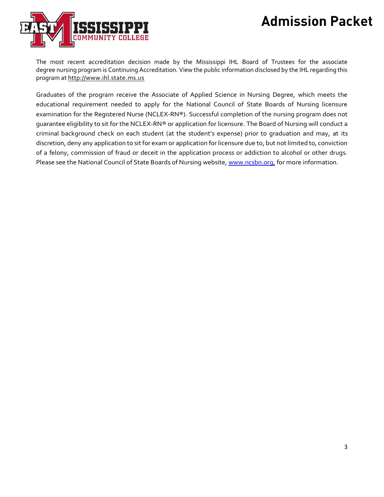

The most recent accreditation decision made by the Mississippi IHL Board of Trustees for the associate degree nursing program is Continuing Accreditation. View the public information disclosed by the IHL regarding this program a[t http://www.ihl.state.ms.us](http://www.ihl.state.ms.us/)

Graduates of the program receive the Associate of Applied Science in Nursing Degree, which meets the educational requirement needed to apply for the National Council of State Boards of Nursing licensure examination for the Registered Nurse (NCLEX-RN®). Successful completion of the nursing program does not guarantee eligibility to sit for the NCLEX-RN® or application for licensure. The Board of Nursing will conduct a criminal background check on each student (at the student's expense) prior to graduation and may, at its discretion, deny any application to sit for exam or application for licensure due to, but not limited to, conviction of a felony, commission of fraud or deceit in the application process or addiction to alcohol or other drugs. Please see the National Council of State Boards of Nursing website[, www.ncsbn.org,](http://www.ncsbn.org/) for more information.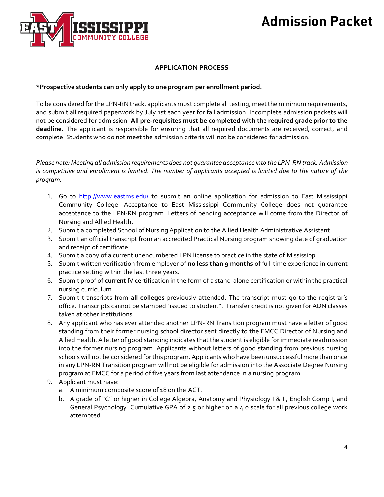

### **APPLICATION PROCESS**

### **\*Prospective students can only apply to one program per enrollment period.**

To be considered for the LPN-RN track, applicants must complete all testing, meet the minimum requirements, and submit all required paperwork by July 1st each year for fall admission. Incomplete admission packets will not be considered for admission. **All pre-requisites must be completed with the required grade prior to the deadline.** The applicant is responsible for ensuring that all required documents are received, correct, and complete. Students who do not meet the admission criteria will not be considered for admission.

*Please note: Meeting all admission requirements does not guarantee acceptance into the LPN-RN track. Admission* is competitive and enrollment is limited. The number of applicants accepted is limited due to the nature of the *program.*

- 1. Go to <http://www.eastms.edu/> to submit an online application for admission to East Mississippi Community College. Acceptance to East Mississippi Community College does not guarantee acceptance to the LPN-RN program. Letters of pending acceptance will come from the Director of Nursing and Allied Health.
- 2. Submit a completed School of Nursing Application to the Allied Health Administrative Assistant.
- 3. Submit an official transcript from an accredited Practical Nursing program showing date of graduation and receipt of certificate.
- 4. Submit a copy of a current unencumbered LPN license to practice in the state of Mississippi.
- 5. Submit written verification from employer of **no less than 9 months** of full-time experience in current practice setting within the last three years.
- 6. Submit proof of **current** IV certification in the form of a stand-alone certification or within the practical nursing curriculum.
- 7. Submit transcripts from **all colleges** previously attended. The transcript must go to the registrar's office. Transcripts cannot be stamped "issued to student". Transfer credit is not given for ADN classes taken at other institutions.
- 8. Any applicant who has ever attended another **LPN-RN Transition** program must have a letter of good standing from their former nursing school director sent directly to the EMCC Director of Nursing and Allied Health. A letter of good standing indicates that the student is eligible for immediate readmission into the former nursing program. Applicants without letters of good standing from previous nursing schools will not be considered for this program. Applicants who have been unsuccessful more than once in any LPN-RN Transition program will not be eligible for admission into the Associate Degree Nursing program at EMCC for a period of five years from last attendance in a nursing program.
- 9. Applicant must have:
	- a. A minimum composite score of 18 on the ACT.
	- b. A grade of "C" or higher in College Algebra, Anatomy and Physiology I & II, English Comp I, and General Psychology. Cumulative GPA of 2.5 or higher on a 4.0 scale for all previous college work attempted.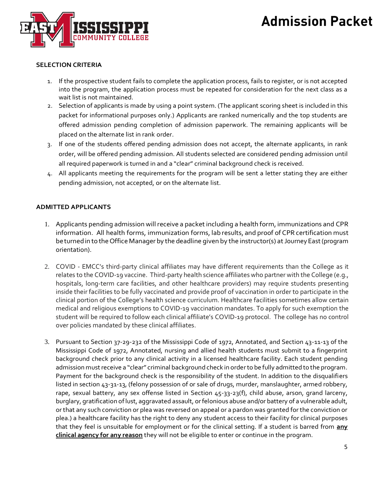



#### **SELECTION CRITERIA**

- 1. If the prospective student fails to complete the application process, fails to register, or is not accepted into the program, the application process must be repeated for consideration for the next class as a wait list is not maintained.
- 2. Selection of applicants is made by using a point system. (The applicant scoring sheet is included in this packet for informational purposes only.) Applicants are ranked numerically and the top students are offered admission pending completion of admission paperwork. The remaining applicants will be placed on the alternate list in rank order.
- 3. If one of the students offered pending admission does not accept, the alternate applicants, in rank order, will be offered pending admission. All students selected are considered pending admission until all required paperwork is turned in and a "clear" criminal background check is received.
- 4. All applicants meeting the requirements for the program will be sent a letter stating they are either pending admission, not accepted, or on the alternate list.

#### **ADMITTED APPLICANTS**

- 1. Applicants pending admission will receive a packet including a health form, immunizations and CPR information. All health forms, immunization forms, lab results, and proof of CPR certification must be turned in to the Office Manager by the deadline given by the instructor(s) at Journey East (program orientation).
- 2. COVID EMCC's third-party clinical affiliates may have different requirements than the College as it relates to the COVID-19 vaccine. Third-party health science affiliates who partner with the College (e.g., hospitals, long-term care facilities, and other healthcare providers) may require students presenting inside their facilities to be fully vaccinated and provide proof of vaccination in order to participate in the clinical portion of the College's health science curriculum. Healthcare facilities sometimes allow certain medical and religious exemptions to COVID-19 vaccination mandates. To apply for such exemption the student will be required to follow each clinical affiliate's COVID-19 protocol. The college has no control over policies mandated by these clinical affiliates.
- 3. Pursuant to Section 37-29-232 of the Mississippi Code of 1972, Annotated, and Section 43-11-13 of the Mississippi Code of 1972, Annotated, nursing and allied health students must submit to a fingerprint background check prior to any clinical activity in a licensed healthcare facility. Each student pending admission must receive a "clear" criminal background check in order to be fully admitted to the program. Payment for the background check is the responsibility of the student. In addition to the disqualifiers listed in section 43-31-13, (felony possession of or sale of drugs, murder, manslaughter, armed robbery, rape, sexual battery, any sex offense listed in Section 45-33-23(f), child abuse, arson, grand larceny, burglary, gratification of lust, aggravated assault, or felonious abuse and/or battery of a vulnerable adult, or that any such conviction or plea was reversed on appeal or a pardon was granted for the conviction or plea.) a healthcare facility has the right to deny any student access to their facility for clinical purposes that they feel is unsuitable for employment or for the clinical setting. If a student is barred from **any clinical agency for any reason** they will not be eligible to enter or continue in the program.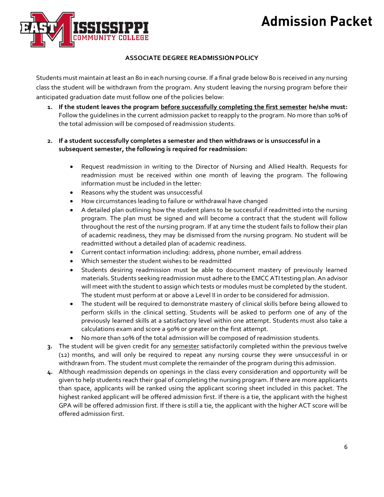

### **ASSOCIATE DEGREE READMISSIONPOLICY**

Students must maintain at least an 80 in each nursing course. If a final grade below 80 is received in any nursing class the student will be withdrawn from the program. Any student leaving the nursing program before their anticipated graduation date must follow one of the policies below:

- **1. If the student leaves the program before successfully completing the first semester he/she must:**  Follow the guidelines in the current admission packet to reapply to the program. No more than 10% of the total admission will be composed of readmission students.
- **2. If a student successfully completes a semester and then withdraws or is unsuccessful in a subsequent semester, the following is required for readmission:**
	- Request readmission in writing to the Director of Nursing and Allied Health. Requests for readmission must be received within one month of leaving the program. The following information must be included in the letter:
	- Reasons why the student was unsuccessful
	- How circumstances leading to failure or withdrawal have changed
	- A detailed plan outlining how the student plans to be successful if readmitted into the nursing program. The plan must be signed and will become a contract that the student will follow throughout the rest of the nursing program. If at any time the student fails to follow their plan of academic readiness, they may be dismissed from the nursing program. No student will be readmitted without a detailed plan of academic readiness.
	- Current contact information including: address, phone number, email address
	- Which semester the student wishes to be readmitted
	- Students desiring readmission must be able to document mastery of previously learned materials. Students seeking readmission must adhere to the EMCC ATI testing plan. An advisor will meet with the student to assign which tests or modules must be completed by the student. The student must perform at or above a Level II in order to be considered for admission.
	- The student will be required to demonstrate mastery of clinical skills before being allowed to perform skills in the clinical setting. Students will be asked to perform one of any of the previously learned skills at a satisfactory level within one attempt. Students must also take a calculations exam and score a 90% or greater on the first attempt.
	- No more than 10% of the total admission will be composed of readmission students.
- **3.** The student will be given credit for any semester satisfactorily completed within the previous twelve (12) months, and will only be required to repeat any nursing course they were unsuccessful in or withdrawn from. The student must complete the remainder of the program during this admission.
- **4.** Although readmission depends on openings in the class every consideration and opportunity will be given to help students reach their goal of completing the nursing program. If there are more applicants than space, applicants will be ranked using the applicant scoring sheet included in this packet. The highest ranked applicant will be offered admission first. If there is a tie, the applicant with the highest GPA will be offered admission first. If there is still a tie, the applicant with the higher ACT score will be offered admission first.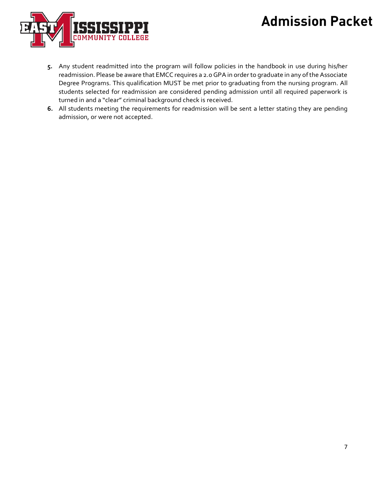

- **5.** Any student readmitted into the program will follow policies in the handbook in use during his/her readmission. Please be aware that EMCC requires a 2.0 GPA in order to graduate in any of the Associate Degree Programs. This qualification MUST be met prior to graduating from the nursing program. All students selected for readmission are considered pending admission until all required paperwork is turned in and a "clear" criminal background check is received.
- **6.** All students meeting the requirements for readmission will be sent a letter stating they are pending admission, or were not accepted.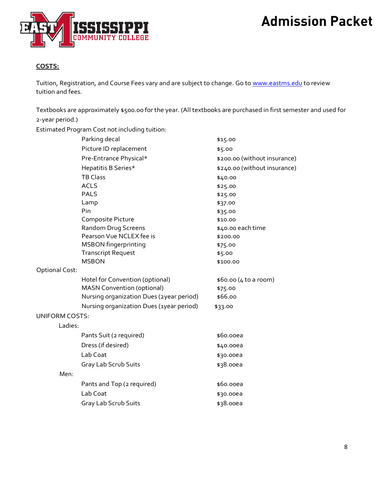

### **COSTS:**

Tuition, Registration, and Course Fees vary and are subject to change. Go to [www.eastms.edu](http://www.eastms.edu/) to review tuition and fees.

Textbooks are approximately \$500.00 for the year. (All textbooks are purchased in first semester and used for 2-year period.)

Estimated Program Cost not including tuition:

|                       | Parking decal                            | \$15.00                      |
|-----------------------|------------------------------------------|------------------------------|
|                       | Picture ID replacement                   | \$5.00                       |
|                       | Pre-Entrance Physical*                   | \$200.00 (without insurance) |
|                       | Hepatitis B Series*                      | \$240.00 (without insurance) |
|                       | <b>TB Class</b>                          | \$40.00                      |
|                       | <b>ACLS</b>                              | \$25.00                      |
|                       | <b>PALS</b>                              | \$25.00                      |
|                       | Lamp                                     | \$37.00                      |
|                       | Pin                                      | \$35.00                      |
|                       | Composite Picture                        | \$10.00                      |
|                       | Random Drug Screens                      | \$40.00 each time            |
|                       | Pearson Vue NCLEX fee is                 | \$200.00                     |
|                       | <b>MSBON</b> fingerprinting              | \$75.00                      |
|                       | <b>Transcript Request</b>                | \$5.00                       |
|                       | <b>MSBON</b>                             | \$100.00                     |
| <b>Optional Cost:</b> |                                          |                              |
|                       | Hotel for Convention (optional)          | \$60.00 (4 to a room)        |
|                       | <b>MASN Convention (optional)</b>        | \$75.00                      |
|                       | Nursing organization Dues (2year period) | \$66.00                      |
|                       | Nursing organization Dues (1year period) | \$33.00                      |
| <b>UNIFORM COSTS:</b> |                                          |                              |
| Ladies:               |                                          |                              |
|                       | Pants Suit (2 required)                  | \$60.00ea                    |
|                       | Dress (if desired)                       | \$40.00ea                    |
|                       | Lab Coat                                 | \$30.00ea                    |
|                       | Gray Lab Scrub Suits                     | \$38.00ea                    |
| Men:                  |                                          |                              |
|                       | Pants and Top (2 required)               | \$60.00ea                    |
|                       | Lab Coat                                 | \$30.00ea                    |
|                       | Gray Lab Scrub Suits                     | \$38.00ea                    |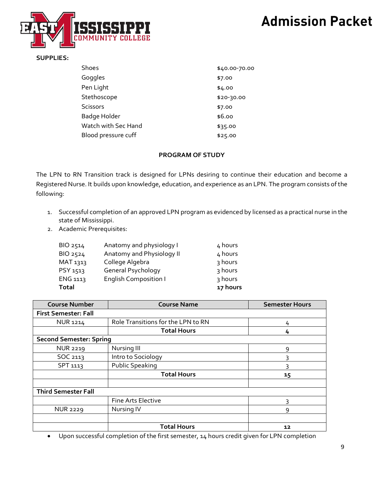

#### **SUPPLIES:**

| Shoes               | \$40.00-70.00 |
|---------------------|---------------|
| Goggles             | \$7.00        |
| Pen Light           | \$4.00        |
| Stethoscope         | $$20-30.00$   |
| <b>Scissors</b>     | \$7.00        |
| Badge Holder        | \$6.00        |
| Watch with Sec Hand | \$35.00       |
| Blood pressure cuff | \$25.00       |

#### **PROGRAM OF STUDY**

The LPN to RN Transition track is designed for LPNs desiring to continue their education and become a Registered Nurse. It builds upon knowledge, education, and experience as an LPN. The program consists of the following:

- 1. Successful completion of an approved LPN program as evidenced by licensed as a practical nurse in the state of Mississippi.
- 2. Academic Prerequisites:

| BIO 2514        | Anatomy and physiology I     | 4 hours  |
|-----------------|------------------------------|----------|
| BIO 2524        | Anatomy and Physiology II    | 4 hours  |
| MAT 1313        | College Algebra              | 3 hours  |
| PSY 1513        | General Psychology           | 3 hours  |
| <b>ENG 1113</b> | <b>English Composition I</b> | 3 hours  |
| <b>Total</b>    |                              | 17 hours |

| <b>Course Number</b>           | <b>Course Name</b>                 | <b>Semester Hours</b> |
|--------------------------------|------------------------------------|-----------------------|
| <b>First Semester: Fall</b>    |                                    |                       |
| <b>NUR 1214</b>                | Role Transitions for the LPN to RN | 4                     |
|                                | <b>Total Hours</b>                 | 4                     |
| <b>Second Semester: Spring</b> |                                    |                       |
| <b>NUR 2219</b>                | Nursing III                        | 9                     |
| SOC 2113                       | Intro to Sociology                 | З                     |
| SPT 1113                       | Public Speaking                    |                       |
|                                | <b>Total Hours</b>                 | 15                    |
|                                |                                    |                       |
| <b>Third Semester Fall</b>     |                                    |                       |
|                                | <b>Fine Arts Elective</b>          | 3                     |
| <b>NUR 2229</b>                | Nursing IV                         | 9                     |
|                                |                                    |                       |
|                                | <b>Total Hours</b>                 | 12                    |

• Upon successful completion of the first semester, 14 hours credit given for LPN completion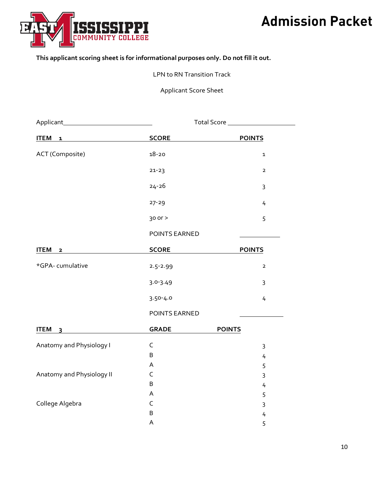

### **This applicant scoring sheet is for informational purposes only. Do not fill it out.**

#### LPN to RN Transition Track

Applicant Score Sheet

| <b>ITEM</b><br>$\mathbf 1$  | <b>SCORE</b>                                      | <b>POINTS</b>  |  |  |
|-----------------------------|---------------------------------------------------|----------------|--|--|
| ACT (Composite)             | $18 - 20$                                         | 1              |  |  |
|                             | $21 - 23$                                         | $\overline{2}$ |  |  |
|                             | $24 - 26$                                         | $\mathbf{3}$   |  |  |
|                             | $27 - 29$                                         | 4              |  |  |
|                             | $30$ or $>$                                       | 5              |  |  |
|                             | POINTS EARNED                                     |                |  |  |
| <b>ITEM</b><br>$\mathbf{2}$ | <b>SCORE</b><br><b>Contract Contract Contract</b> | <b>POINTS</b>  |  |  |
| *GPA-cumulative             | $2.5 - 2.99$                                      | $\overline{2}$ |  |  |
|                             | $3.0 - 3.49$                                      | 3              |  |  |
|                             | $3.50 - 4.0$                                      | 4              |  |  |
|                             | POINTS EARNED                                     |                |  |  |
| <b>ITEM</b><br>3            | <b>GRADE</b>                                      | <b>POINTS</b>  |  |  |
| Anatomy and Physiology I    | $\mathsf C$                                       | 3              |  |  |
|                             | B                                                 | 4              |  |  |
|                             | A                                                 | 5              |  |  |
| Anatomy and Physiology II   | $\mathsf C$                                       | 3              |  |  |
|                             | B                                                 | 4              |  |  |
|                             | A                                                 | 5              |  |  |
| College Algebra             | C                                                 | 3              |  |  |
|                             | $\sf B$                                           | 4              |  |  |
|                             | A                                                 | 5              |  |  |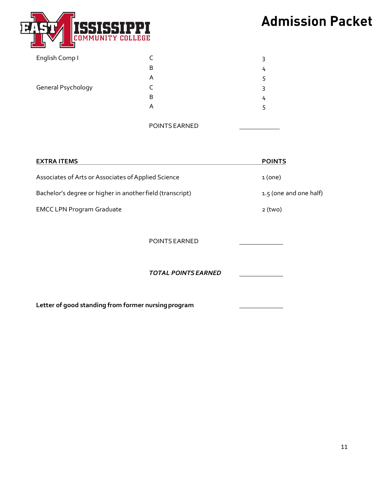

| English Comp I     |               | 3 |
|--------------------|---------------|---|
|                    | B             | 4 |
|                    | A             | 5 |
| General Psychology |               | 3 |
|                    | B             | 4 |
|                    | A             | 5 |
|                    |               |   |
|                    | POINTS EARNED |   |

| <b>EXTRA ITEMS</b>                                        | <b>POINTS</b>          |
|-----------------------------------------------------------|------------------------|
| Associates of Arts or Associates of Applied Science       | 1(one)                 |
| Bachelor's degree or higher in another field (transcript) | 1.5 (one and one half) |
| <b>EMCC LPN Program Graduate</b>                          | $2$ (two)              |
| POINTS EARNED                                             |                        |
| <b>TOTAL POINTS EARNED</b>                                |                        |
| Letter of good standing from former nursing program       |                        |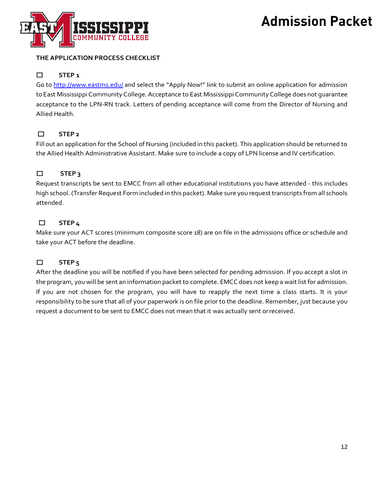

### **THE APPLICATION PROCESS CHECKLIST**

### ☐ **STEP 1**

Go to<http://www.eastms.edu/> and select the "Apply Now!" link to submit an online application for admission to East Mississippi Community College. Acceptance to East Mississippi Community College does not guarantee acceptance to the LPN-RN track. Letters of pending acceptance will come from the Director of Nursing and Allied Health.

### ☐ **STEP 2**

Fill out an application for the School of Nursing (included in this packet). This application should be returned to the Allied Health Administrative Assistant. Make sure to include a copy of LPN license and IV certification.

### ☐ **STEP 3**

Request transcripts be sent to EMCC from all other educational institutions you have attended - this includes high school. (Transfer Request Form included in this packet). Make sure you request transcripts from all schools attended.

### ☐ **STEP 4**

Make sure your ACT scores (minimum composite score 18) are on file in the admissions office or schedule and take your ACT before the deadline.

### ☐ **STEP 5**

After the deadline you will be notified if you have been selected for pending admission. If you accept a slot in the program, you will be sent an information packet to complete. EMCC does not keep a wait list for admission. If you are not chosen for the program, you will have to reapply the next time a class starts. It is your responsibility to be sure that all of your paperwork is on file prior to the deadline. Remember, just because you request a document to be sent to EMCC does not mean that it was actually sent orreceived.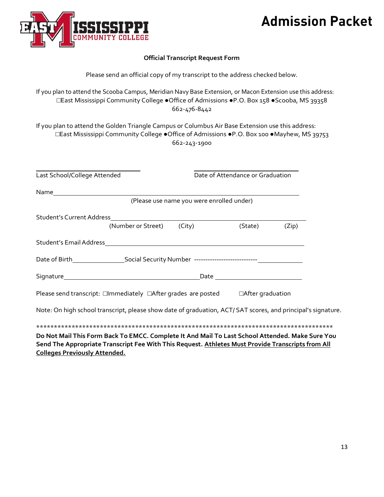

### **Official Transcript Request Form**

If you plan to attend the Scooba Campus, Meridian Navy Base Extension, or Macon Extension use this address: **□**East Mississippi Community College **●**Office of Admissions **●**P.O. Box 158 **●**Scooba, MS 39358 662-476-8442

If you plan to attend the Golden Triangle Campus or Columbus Air Base Extension use this address: **□**East Mississippi Community College **●**Office of Admissions **●**P.O. Box 100 **●**Mayhew, MS 39753 662-243-1900

| Last School/College Attended                                                                                                                                                                         |                                           | Date of Attendance or Graduation |       |  |
|------------------------------------------------------------------------------------------------------------------------------------------------------------------------------------------------------|-------------------------------------------|----------------------------------|-------|--|
|                                                                                                                                                                                                      |                                           |                                  |       |  |
|                                                                                                                                                                                                      | (Please use name you were enrolled under) |                                  |       |  |
|                                                                                                                                                                                                      |                                           |                                  |       |  |
| Student's Current Address<br>(Number or Street) (City) (St                                                                                                                                           |                                           | (State)                          | (Zip) |  |
|                                                                                                                                                                                                      |                                           |                                  |       |  |
|                                                                                                                                                                                                      |                                           |                                  |       |  |
|                                                                                                                                                                                                      |                                           |                                  |       |  |
| Please send transcript: □Immediately □After grades are posted □After graduation                                                                                                                      |                                           |                                  |       |  |
| Note: On high school transcript, please show date of graduation, ACT/ SAT scores, and principal's signature.                                                                                         |                                           |                                  |       |  |
|                                                                                                                                                                                                      |                                           |                                  |       |  |
| Do Not Mail This Form Back To EMCC. Complete It And Mail To Last School Attended. Make Sure You<br>Send The Appropriate Transcript Fee With This Request. Athletes Must Provide Transcripts from All |                                           |                                  |       |  |

**Colleges Previously Attended.**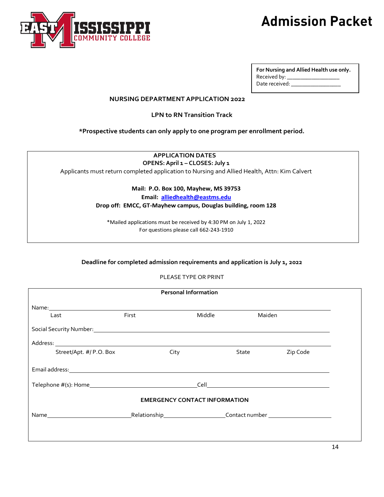

| For Nursing and Allied Health use only. |  |  |  |
|-----------------------------------------|--|--|--|
| Received by: __                         |  |  |  |
| Date received:                          |  |  |  |

#### **NURSING DEPARTMENT APPLICATION 2022**

**LPN to RN Transition Track**

**\*Prospective students can only apply to one program per enrollment period.**

### **APPLICATION DATES**

**OPENS: April 1 – CLOSES: July 1**

Applicants must return completed application to Nursing and Allied Health, Attn: Kim Calvert

#### **Mail: P.O. Box 100, Mayhew, MS 39753**

**Email: [alliedhealth@eastms.edu](mailto:alliedhealth@eastms.edu)**

**Drop off: EMCC, GT-Mayhew campus, Douglas building, room 128**

\*Mailed applications must be received by 4:30 PM on July 1, 2022 For questions please call 662-243-1910

#### **Deadline for completed admission requirements and application is July 1, 2022**

#### PLEASE TYPE OR PRINT

| <b>Personal Information</b>          |       |        |          |  |  |
|--------------------------------------|-------|--------|----------|--|--|
|                                      |       |        |          |  |  |
| Last                                 | First | Middle | Maiden   |  |  |
|                                      |       |        |          |  |  |
|                                      |       |        |          |  |  |
| Street/Apt. #/ P.O. Box              | City  | State  | Zip Code |  |  |
|                                      |       |        |          |  |  |
|                                      |       |        |          |  |  |
| <b>EMERGENCY CONTACT INFORMATION</b> |       |        |          |  |  |
|                                      |       |        |          |  |  |
|                                      |       |        |          |  |  |
|                                      |       |        |          |  |  |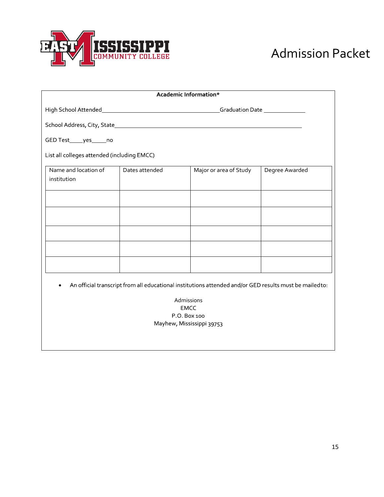

| Academic Information*                                                                                  |                |                        |                |  |  |
|--------------------------------------------------------------------------------------------------------|----------------|------------------------|----------------|--|--|
|                                                                                                        |                |                        |                |  |  |
|                                                                                                        |                |                        |                |  |  |
| GED Test______yes______no                                                                              |                |                        |                |  |  |
| List all colleges attended (including EMCC)                                                            |                |                        |                |  |  |
| Name and location of<br>institution                                                                    | Dates attended | Major or area of Study | Degree Awarded |  |  |
|                                                                                                        |                |                        |                |  |  |
|                                                                                                        |                |                        |                |  |  |
|                                                                                                        |                |                        |                |  |  |
|                                                                                                        |                |                        |                |  |  |
|                                                                                                        |                |                        |                |  |  |
| An official transcript from all educational institutions attended and/or GED results must be mailedto: |                |                        |                |  |  |
| Admissions                                                                                             |                |                        |                |  |  |
| <b>EMCC</b><br>P.O. Box 100                                                                            |                |                        |                |  |  |
| Mayhew, Mississippi 39753                                                                              |                |                        |                |  |  |
|                                                                                                        |                |                        |                |  |  |
|                                                                                                        |                |                        |                |  |  |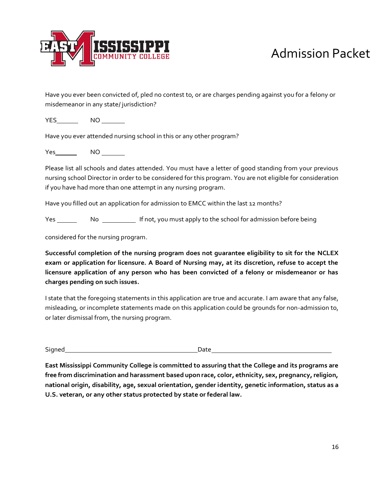

Have you ever been convicted of, pled no contest to, or are charges pending against you for a felony or misdemeanor in any state/ jurisdiction?

YES\_\_\_\_\_\_\_\_ NO \_\_\_\_\_\_\_\_

Have you ever attended nursing school in this or any other program?

Yes\_\_\_\_\_\_\_\_\_ NO

Please list all schools and dates attended. You must have a letter of good standing from your previous nursing school Director in order to be considered for this program. You are not eligible for consideration if you have had more than one attempt in any nursing program.

Have you filled out an application for admission to EMCC within the last 12 months?

Yes \_\_\_\_\_\_\_\_\_\_\_\_\_\_\_\_\_\_\_\_\_\_\_\_\_\_\_\_\_\_ If not, you must apply to the school for admission before being

considered for the nursing program.

**Successful completion of the nursing program does not guarantee eligibility to sit for the NCLEX exam or application for licensure. A Board of Nursing may, at its discretion, refuse to accept the licensure application of any person who has been convicted of a felony or misdemeanor or has charges pending on such issues.**

I state that the foregoing statements in this application are true and accurate. I am aware that any false, misleading, or incomplete statements made on this application could be grounds for non-admission to, or later dismissal from, the nursing program.

Signed Date Date Date Date

**East Mississippi Community College is committed to assuring that the College and its programs are free from discrimination and harassment based upon race, color, ethnicity, sex, pregnancy, religion, national origin, disability, age, sexual orientation, gender identity, genetic information, status as a U.S. veteran, or any other status protected by state or federal law.**